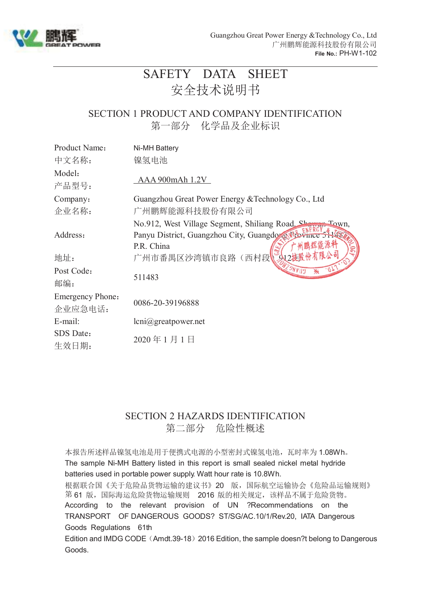

# SAFETY DATA SHEET 安全技术说明书

### SECTION 1 PRODUCT AND COMPANY IDENTIFICATION 第一部分 化学品及企业标识

| Product Name:                      | Ni-MH Battery                                                                                                         |
|------------------------------------|-----------------------------------------------------------------------------------------------------------------------|
| 中文名称:                              | 镍氢电池                                                                                                                  |
| Model:<br>产品型号:                    | AAA 900mAh 1.2V                                                                                                       |
| Company:                           | Guangzhou Great Power Energy & Technology Co., Ltd                                                                    |
| 企业名称:                              | 广州鹏辉能源科技股份有限公司                                                                                                        |
| Address:                           | No.912, West Village Segment, Shiliang Road, Sh<br>$TQ$ Wn,<br>Panyu District, Guangzhou City, Guangdow<br>P.R. China |
| 地址:                                | 广州市番禺区沙湾镇市良路(西村段                                                                                                      |
| Post Code:<br>邮编:                  | 511483                                                                                                                |
| <b>Emergency Phone:</b><br>企业应急电话: | 0086-20-39196888                                                                                                      |
| E-mail:                            | lcni@greatpower.net                                                                                                   |
| SDS Date:<br>生效日期:                 | 2020年1月1日                                                                                                             |

### SECTION 2 HAZARDS IDENTIFICATION 第二部分 危险性概述

本报告所述样品镍氢电池是用于便携式电源的小型密封式镍氢电池,瓦时率为 1.08Wh。 The sample Ni-MH Battery listed in this report is small sealed nickel metal hydride batteries used in portable power supply. Watt hour rate is 10.8Wh.

根据联合国《关于危险品货物运输的建议书》20 版,国际航空运输协会《危险品运输规则》 第 61 版,国际海运危险货物运输规则 2016 版的相关规定,该样品不属于危险货物。 According to the relevant provision of UN ?Recommendations on the TRANSPORT OF DANGEROUS GOODS? ST/SG/AC.10/1/Rev.20, IATA Dangerous Goods Regulations 61th

Edition and IMDG CODE (Amdt.39-18) 2016 Edition, the sample doesn?t belong to Dangerous Goods.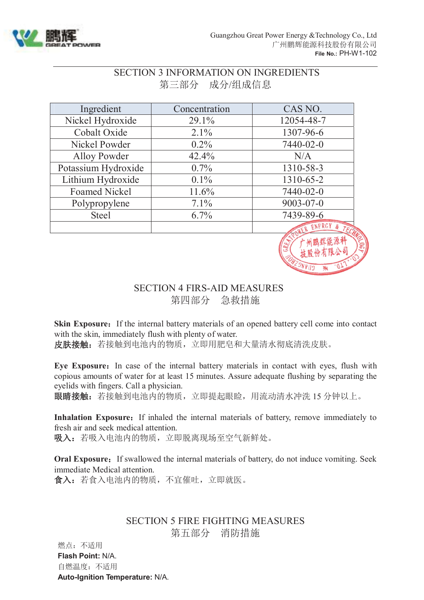

# SECTION 3 INFORMATION ON INGREDIENTS 第三部分 成分/组成信息

| Ingredient           | Concentration | CAS NO.         |
|----------------------|---------------|-----------------|
| Nickel Hydroxide     | 29.1%         | 12054-48-7      |
| Cobalt Oxide         | $2.1\%$       | 1307-96-6       |
| Nickel Powder        | $0.2\%$       | 7440-02-0       |
| <b>Alloy Powder</b>  | 42.4%         | N/A             |
| Potassium Hydroxide  | $0.7\%$       | 1310-58-3       |
| Lithium Hydroxide    | $0.1\%$       | 1310-65-2       |
| <b>Foamed Nickel</b> | 11.6%         | 7440-02-0       |
| Polypropylene        | $7.1\%$       | $9003 - 07 - 0$ |
| <b>Steel</b>         | $6.7\%$       | 7439-89-6       |
|                      |               | ENERGY          |
|                      |               |                 |

### SECTION 4 FIRS-AID MEASURES 第四部分 急救措施

**Skin Exposure:** If the internal battery materials of an opened battery cell come into contact with the skin, immediately flush with plenty of water.

皮肤接触: 若接触到电池内的物质, 立即用肥皂和大量清水彻底清洗皮肤。

Eye Exposure: In case of the internal battery materials in contact with eyes, flush with copious amounts of water for at least 15 minutes. Assure adequate flushing by separating the eyelids with fingers. Call a physician.

眼睛接触:若接触到电池内的物质,立即提起眼睑,用流动清水冲洗 15 分钟以上。

**Inhalation Exposure:** If inhaled the internal materials of battery, remove immediately to fresh air and seek medical attention.

吸入:若吸入电池内的物质,立即脱离现场至空气新鲜处。

**Oral Exposure:** If swallowed the internal materials of battery, do not induce vomiting. Seek immediate Medical attention.

食入:若食入电池内的物质,不宜催吐,立即就医。

### SECTION 5 FIRE FIGHTING MEASURES 第五部分 消防措施

燃点:不适用 **Flash Point:** N/A. 自燃温度:不适用 **Auto-Ignition Temperature:** N/A.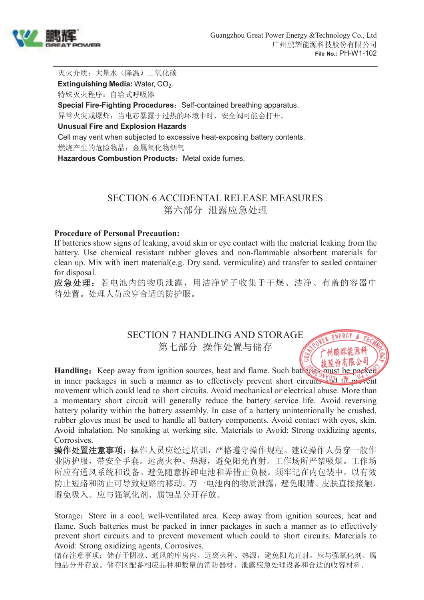

Ж

灭火介质: 大量水(降温),二氧化碳 **Extinguishing Media: Water, CO<sub>2</sub>.** 特殊灭火程序:自给式呼吸器 **Special Fire-Fighting Procedures:** Self-contained breathing apparatus. 异常火灾或爆炸:当电芯暴露于过热的环境中时,安全阀可能会打开。

#### **Unusual Fire and Explosion Hazards**

Cell may vent when subjected to excessive heat-exposing battery contents. 燃烧产生的危险物品:金属氧化物烟气

**Hazardous Combustion Products: Metal oxide fumes.** 

### SECTION 6 ACCIDENTAL RELEASE MEASURES 第六部分 泄露应急处理

#### **Procedure of Personal Precaution:**

If batteries show signs of leaking, avoid skin or eye contact with the material leaking from the battery. Use chemical resistant rubber gloves and non-flammable absorbent materials for clean up. Mix with inert material(e.g. Dry sand, vermiculite) and transfer to sealed container for disposal.

应急处理:若电池内的物质泄露,用洁净铲子收集于干燥、洁净、有盖的容器中 待处置。处理人员应穿合适的防护服。

> SECTION 7 HANDLING AND STORAGE 第七部分 操作处置与储存

**Handling:** Keep away from ignition sources, heat and flame. Such batteries must be packed in inner packages in such a manner as to effectively prevent short circuits and to prevent movement which could lead to short circuits. Avoid mechanical or electrical abuse. More than a momentary short circuit will generally reduce the battery service life. Avoid reversing battery polarity within the battery assembly. In case of a battery unintentionally be crushed, rubber gloves must be used to handle all battery components. Avoid contact with eyes, skin. Avoid inhalation. No smoking at working site. Materials to Avoid: Strong oxidizing agents, Corrosives.

操作处置注意事项: 操作人员应经过培训,严格遵守操作规程。建议操作人员穿一般作 业防护服,带安全手套。远离火种、热源,避免阳光直射。工作场所严禁吸烟。工作场 所应有通风系统和设备。避免随意拆卸电池和弄错正负极。须牢记在内包装中,以有效 防止短路和防止可导致短路的移动。万一电池内的物质泄露,避免眼睛、皮肤直接接触, 避免吸入。应与强氧化剂、腐蚀品分开存放。

Storage: Store in a cool, well-ventilated area. Keep away from ignition sources, heat and flame. Such batteries must be packed in inner packages in such a manner as to effectively prevent short circuits and to prevent movement which could to short circuits. Materials to Avoid: Strong oxidizing agents, Corrosives.

储存注意事项:储存于阴凉、通风的库房内。远离火种、热源,避免阳光直射。应与强氧化剂、腐 蚀品分开存放。储存区配备相应品种和数量的消防器材、泄露应急处理设备和合适的收容材料。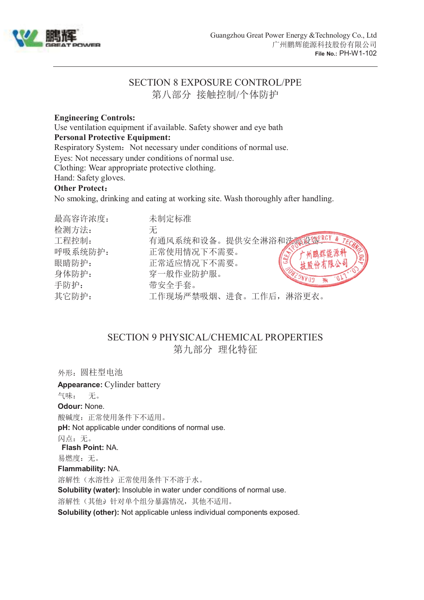

# SECTION 8 EXPOSURE CONTROL/PPE 第八部分 接触控制/个体防护

#### **Engineering Controls:**

Use ventilation equipment if available. Safety shower and eye bath

#### **Personal Protective Equipment:**

Respiratory System: Not necessary under conditions of normal use.

Eyes: Not necessary under conditions of normal use.

Clothing: Wear appropriate protective clothing.

Hand: Safety gloves.

#### **Other Protect**:

No smoking, drinking and eating at working site. Wash thoroughly after handling.

| 最高容许浓度: | 未制定标准                  |
|---------|------------------------|
| 检测方法:   | 无                      |
| 工程控制:   | 有通风系统和设备。提供安全淋浴和选系设整   |
| 呼吸系统防护: | 正常使用情况下不需要。            |
| 眼睛防护:   | 正常适应情况下不需要。<br>技股份有限公司 |
| 身体防护:   | 穿一般作业防护服。              |
| 手防护:    | 带安全手套。                 |
| 其它防护:   | 工作现场严禁吸烟、进食。工作后,淋浴更衣。  |

### SECTION 9 PHYSICAL/CHEMICAL PROPERTIES 第九部分 理化特征

外形:圆柱型电池 **Appearance:** Cylinder battery 气味: 无。 **Odour:** None. 酸碱度:正常使用条件下不适用。 **pH:** Not applicable under conditions of normal use. 闪点:无。 **Flash Point:** NA. 易燃度:无。 **Flammability:** NA. 溶解性(水溶性)。正常使用条件下不溶于水。 **Solubility (water):** Insoluble in water under conditions of normal use. 溶解性(其他)针对单个组分暴露情况,其他不适用。 **Solubility (other):** Not applicable unless individual components exposed.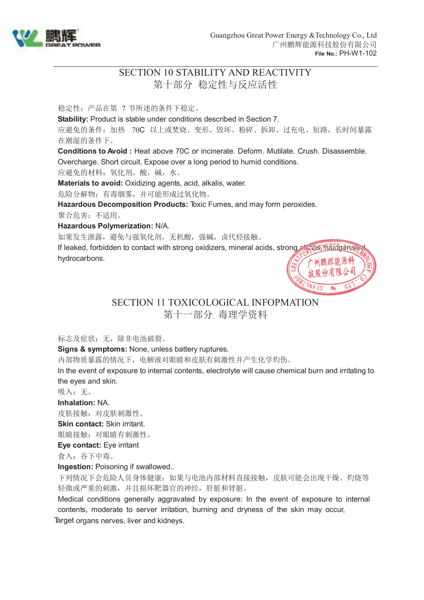

# SECTION 10 STABILITY AND REACTIVITY 第十部分 稳定性与反应活性

稳定性:产品在第 7 节所述的条件下稳定。

**Stability:** Product is stable under conditions described in Section 7.

应避免的条件:加热 70C 以上或焚烧、变形、毁坏、粉碎、拆卸、过充电、短路,长时间暴露 在潮湿的条件下。

**Conditions to Avoid :** Heat above 70C or incinerate. Deform. Mutilate. Crush. Disassemble. Overcharge. Short circuit. Expose over a long period to humid conditions.

应避免的材料:氧化剂,酸,碱,水。

**Materials to avoid:** Oxidizing agents, acid, alkalis, water.

危险分解物:有毒烟雾,并可能形成过氧化物。

**Hazardous Decomposition Products:** Toxic Fumes, and may form peroxides.

聚合危害:不适用。

#### **Hazardous Polymerization:** N/A.

如果发生泄露,避免与强氧化剂,无机酸,强碱,卤代烃接触。

If leaked, forbidden to contact with strong oxidizers, mineral acids, strong also walls, halogenate hydrocarbons.



### SECTION 11 TOXICOLOGICAL INFOPMATION 第十一部分 毒理学资料

标志及症状: 无, 除非电池破裂。

**Signs & symptoms:** None, unless battery ruptures.

内部物质暴露的情况下,电解液对眼睛和皮肤有刺激性并产生化学灼伤。

In the event of exposure to internal contents, electrolyte will cause chemical burn and irritating to the eyes and skin.

吸入:无。

**Inhalation:** NA.

皮肤接触:对皮肤刺激性。

**Skin contact:** Skin irritant.

眼睛接触:对眼睛有刺激性。

**Eye contact:** Eye irritant

食入:吞下中毒。

**Ingestion: Poisoning if swallowed..** 

下列情况下会危险人员身体健康:如果与电池内部材料直接接触,皮肤可能会出现干燥、灼烧等 轻微或严重的刺激,并且损坏靶器官的神经,肝脏和肾脏。

Medical conditions generally aggravated by exposure: In the event of exposure to internal contents, moderate to server irritation, burning and dryness of the skin may occur, Target organs nerves, liver and kidneys.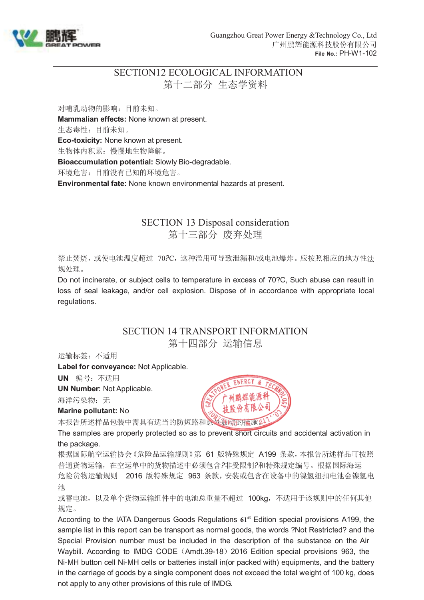

# SECTION12 ECOLOGICAL INFORMATION 第十二部分 生态学资料

对哺乳动物的影响:目前未知。 **Mammalian effects:** None known at present. 生态毒性:目前未知。 **Eco-toxicity:** None known at present. 生物体内积累:慢慢地生物降解。 **Bioaccumulation potential:** Slowly Bio-degradable. 环境危害:目前没有已知的环境危害。 **Environmental fate:** None known environmental hazards at present.

### SECTION 13 Disposal consideration 第十三部分 废弃处理

禁止焚烧,或使电池温度超过 70?C,这种滥用可导致泄漏和/或电池爆炸。应按照相应的地方性法 规处理。

Do not incinerate, or subject cells to temperature in excess of 70?C, Such abuse can result in loss of seal leakage, and/or cell explosion. Dispose of in accordance with appropriate local regulations.

### SECTION 14 TRANSPORT INFORMATION 第十四部分 运输信息

运输标签:不适用

**Label for conveyance:** Not Applicable.

**UN** 编号:不适用

**UN Number:** Not Applicable.

海洋污染物: 无

**Marine pollutant:** No

本报告所述样品包装中需具有适当的防短路和意外启动的控施。

The samples are properly protected so as to prevent short circuits and accidental activation in the package.

根据国际航空运输协会《危险品运输规则》第 61 版特殊规定 A199 条款,本报告所述样品可按照 普通货物运输,在空运单中的货物描述中必须包含?非受限制?和特殊规定编号。根据国际海运 危险货物运输规则 2016 版特殊规定 963 条款,安装或包含在设备中的镍氢纽扣电池会镍氢电 池

或蓄电池,以及单个货物运输组件中的电池总重量不超过 100kg,不适用于该规则中的任何其他 规定。

According to the IATA Dangerous Goods Regulations **61st** Edition special provisions A199, the sample list in this report can be transport as normal goods, the words ?Not Restricted? and the Special Provision number must be included in the description of the substance on the Air Waybill. According to IMDG CODE (Amdt.39-18) 2016 Edition special provisions 963, the Ni-MH button cell Ni-MH cells or batteries install in(or packed with) equipments, and the battery in the carriage of goods by a single component does not exceed the total weight of 100 kg, does not apply to any other provisions of this rule of IMDG.

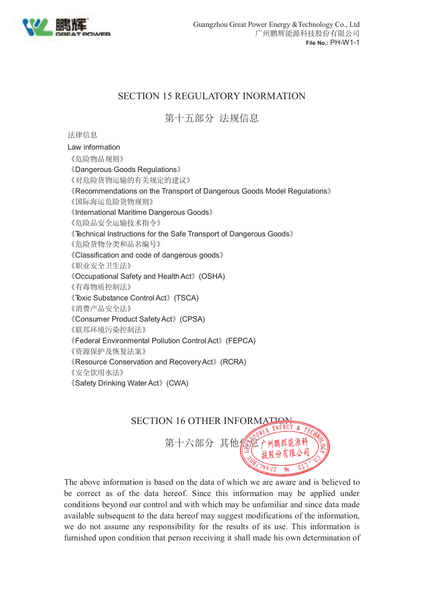

# SECTION 15 REGULATORY INORMATION

第十五部分 法规信息

法律信息

Law information 《危险物品规则》 《Dangerous Goods Regulations》 《对危险货物运输的有关规定的建议》 《Recommendations on the Transport of Dangerous Goods Model Regulations》 《国际海运危险货物规则》 《International Maritime Dangerous Goods》 《危险品安全运输技术指令》 《Technical Instructions for the Safe Transport of Dangerous Goods》 《危险货物分类和品名编号》 《Classification and code of dangerous goods》 《职业安全卫生法》 《Occupational Safety and Health Act》(OSHA) 《有毒物质控制法》 《Toxic Substance Control Act》(TSCA) 《消费产品安全法》 《Consumer Product Safety Act》(CPSA) 《联邦环境污染控制法》 《Federal Environmental Pollution Control Act》(FEPCA) 《资源保护及恢复法案》 《Resource Conservation and Recovery Act》(RCRA) 《安全饮用水法》 《Safety Drinking Water Act》(CWA)



The above information is based on the data of which we are aware and is believed to be correct as of the data hereof. Since this information may be applied under conditions beyond our control and with which may be unfamiliar and since data made available subsequent to the data hereof may suggest modifications of the information, we do not assume any responsibility for the results of its use. This information is furnished upon condition that person receiving it shall made his own determination of